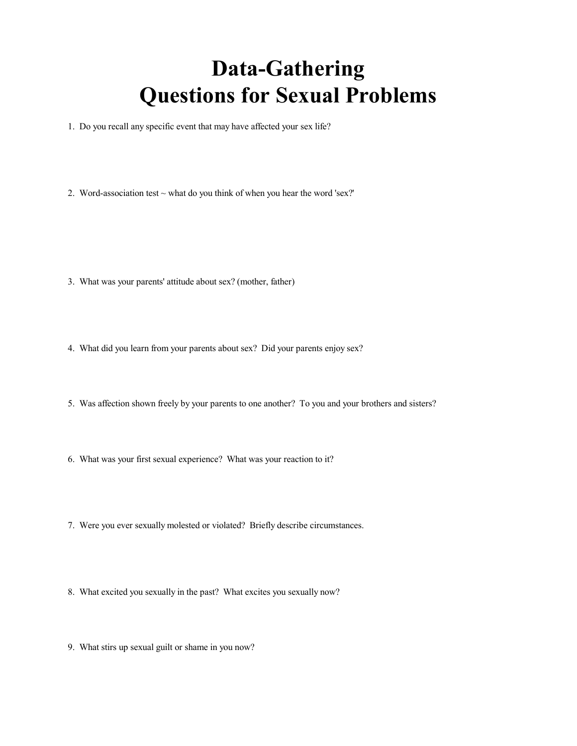## **Data-Gathering Questions for Sexual Problems**

1. Do you recall any specific event that may have affected your sex life?

2. Word-association test  $\sim$  what do you think of when you hear the word 'sex?'

- 3. What was your parents' attitude about sex? (mother, father)
- 4. What did you learn from your parents about sex? Did your parents enjoy sex?
- 5. Was affection shown freely by your parents to one another? To you and your brothers and sisters?
- 6. What was your first sexual experience? What was your reaction to it?
- 7. Were you ever sexually molested or violated? Briefly describe circumstances.
- 8. What excited you sexually in the past? What excites you sexually now?
- 9. What stirs up sexual guilt or shame in you now?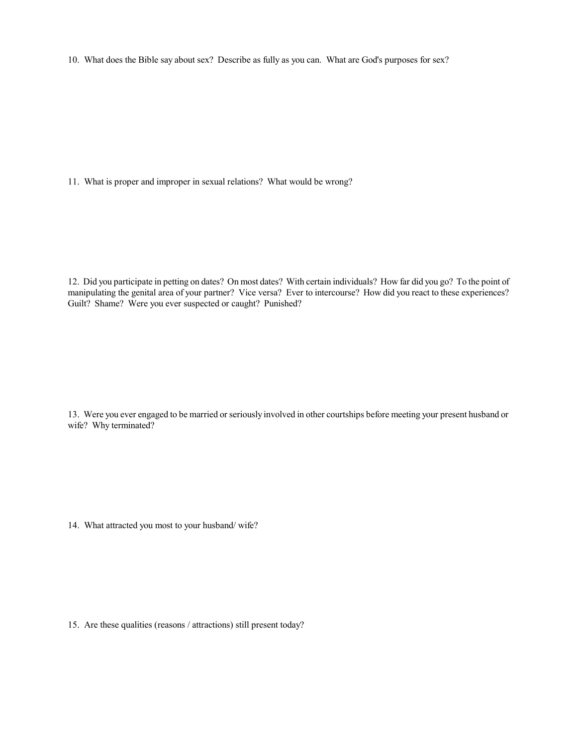10. What does the Bible say about sex? Describe as fully as you can. What are God's purposes for sex?

11. What is proper and improper in sexual relations? What would be wrong?

12. Did you participate in petting on dates? On most dates? With certain individuals? How far did you go? To the point of manipulating the genital area of your partner? Vice versa? Ever to intercourse? How did you react to these experiences? Guilt? Shame? Were you ever suspected or caught? Punished?

13. Were you ever engaged to be married or seriously involved in other courtships before meeting your present husband or wife? Why terminated?

14. What attracted you most to your husband/ wife?

15. Are these qualities (reasons / attractions) still present today?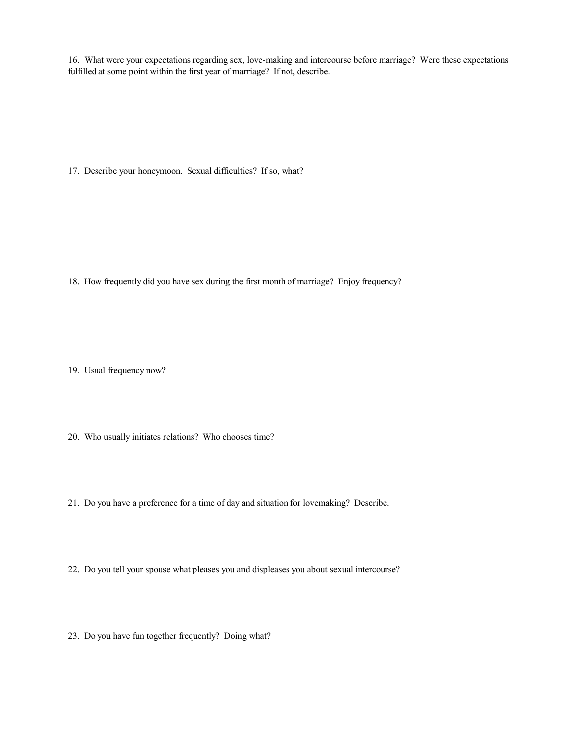16. What were your expectations regarding sex, love-making and intercourse before marriage? Were these expectations fulfilled at some point within the first year of marriage? If not, describe.

17. Describe your honeymoon. Sexual difficulties? If so, what?

18. How frequently did you have sex during the first month of marriage? Enjoy frequency?

19. Usual frequency now?

20. Who usually initiates relations? Who chooses time?

21. Do you have a preference for a time of day and situation for lovemaking? Describe.

22. Do you tell your spouse what pleases you and displeases you about sexual intercourse?

23. Do you have fun together frequently? Doing what?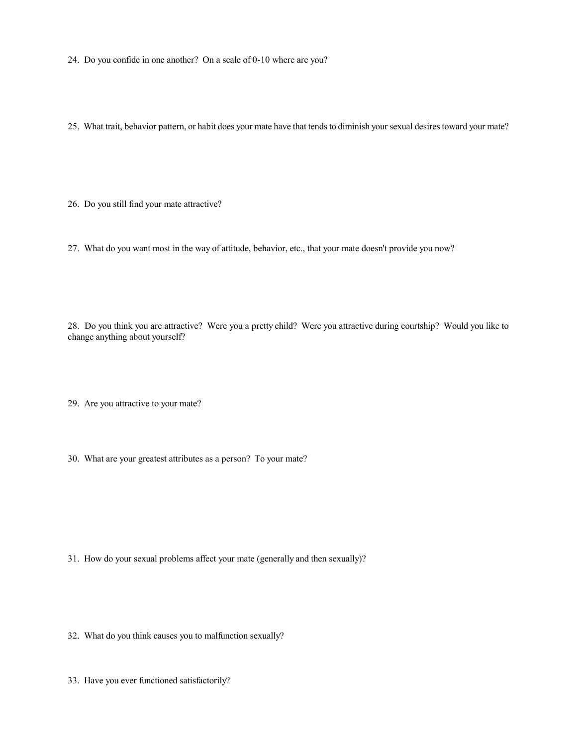24. Do you confide in one another? On a scale of 0-10 where are you?

25. What trait, behavior pattern, or habit does your mate have that tends to diminish your sexual desires toward your mate?

26. Do you still find your mate attractive?

27. What do you want most in the way of attitude, behavior, etc., that your mate doesn't provide you now?

28. Do you think you are attractive? Were you a pretty child? Were you attractive during courtship? Would you like to change anything about yourself?

29. Are you attractive to your mate?

30. What are your greatest attributes as a person? To your mate?

31. How do your sexual problems affect your mate (generally and then sexually)?

32. What do you think causes you to malfunction sexually?

33. Have you ever functioned satisfactorily?